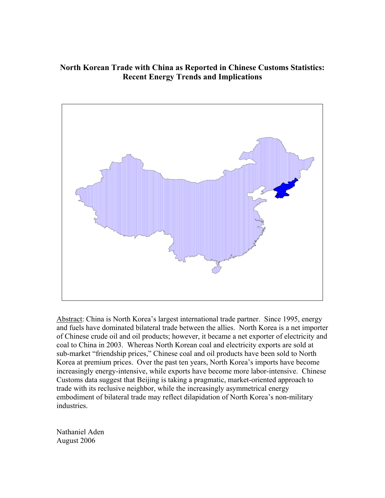# **North Korean Trade with China as Reported in Chinese Customs Statistics: Recent Energy Trends and Implications**



Abstract: China is North Korea's largest international trade partner. Since 1995, energy and fuels have dominated bilateral trade between the allies. North Korea is a net importer of Chinese crude oil and oil products; however, it became a net exporter of electricity and coal to China in 2003. Whereas North Korean coal and electricity exports are sold at sub-market "friendship prices," Chinese coal and oil products have been sold to North Korea at premium prices. Over the past ten years, North Korea's imports have become increasingly energy-intensive, while exports have become more labor-intensive. Chinese Customs data suggest that Beijing is taking a pragmatic, market-oriented approach to trade with its reclusive neighbor, while the increasingly asymmetrical energy embodiment of bilateral trade may reflect dilapidation of North Korea's non-military industries.

Nathaniel Aden August 2006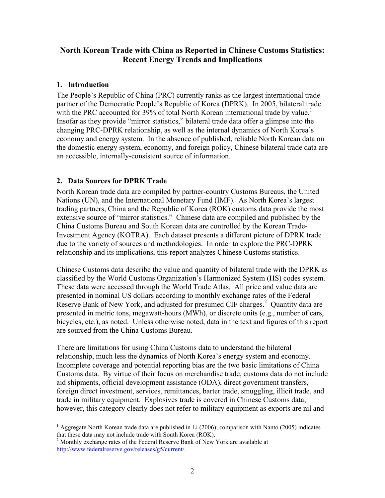# **North Korean Trade with China as Reported in Chinese Customs Statistics: Recent Energy Trends and Implications**

## **1. Introduction**

 $\overline{a}$ 

The People's Republic of China (PRC) currently ranks as the largest international trade partner of the Democratic People's Republic of Korea (DPRK). In 2005, bilateral trade with the PRC accounted for  $39\%$  of total North Korean international trade by value.<sup>1</sup> Insofar as they provide "mirror statistics," bilateral trade data offer a glimpse into the changing PRC-DPRK relationship, as well as the internal dynamics of North Korea's economy and energy system. In the absence of published, reliable North Korean data on the domestic energy system, economy, and foreign policy, Chinese bilateral trade data are an accessible, internally-consistent source of information.

## **2. Data Sources for DPRK Trade**

North Korean trade data are compiled by partner-country Customs Bureaus, the United Nations (UN), and the International Monetary Fund (IMF). As North Korea's largest trading partners, China and the Republic of Korea (ROK) customs data provide the most extensive source of "mirror statistics." Chinese data are compiled and published by the China Customs Bureau and South Korean data are controlled by the Korean Trade-Investment Agency (KOTRA). Each dataset presents a different picture of DPRK trade due to the variety of sources and methodologies. In order to explore the PRC-DPRK relationship and its implications, this report analyzes Chinese Customs statistics.

Chinese Customs data describe the value and quantity of bilateral trade with the DPRK as classified by the World Customs Organization's Harmonized System (HS) codes system. These data were accessed through the World Trade Atlas. All price and value data are presented in nominal US dollars according to monthly exchange rates of the Federal Reserve Bank of New York, and adjusted for presumed CIF charges.<sup>2</sup> Quantity data are presented in metric tons, megawatt-hours (MWh), or discrete units (e.g., number of cars, bicycles, etc.), as noted. Unless otherwise noted, data in the text and figures of this report are sourced from the China Customs Bureau.

There are limitations for using China Customs data to understand the bilateral relationship, much less the dynamics of North Korea's energy system and economy. Incomplete coverage and potential reporting bias are the two basic limitations of China Customs data. By virtue of their focus on merchandise trade, customs data do not include aid shipments, official development assistance (ODA), direct government transfers, foreign direct investment, services, remittances, barter trade, smuggling, illicit trade, and trade in military equipment. Explosives trade is covered in Chinese Customs data; however, this category clearly does not refer to military equipment as exports are nil and

<sup>&</sup>lt;sup>1</sup> Aggregate North Korean trade data are published in Li (2006); comparison with Nanto (2005) indicates that these data may not include trade with South Korea (ROK).

<sup>&</sup>lt;sup>2</sup> Monthly exchange rates of the Federal Reserve Bank of New York are available at http://www.federalreserve.gov/releases/g5/current/.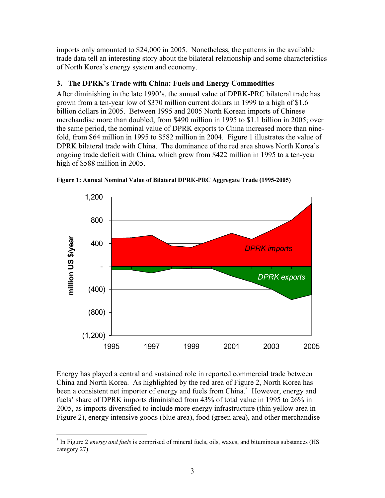imports only amounted to \$24,000 in 2005. Nonetheless, the patterns in the available trade data tell an interesting story about the bilateral relationship and some characteristics of North Korea's energy system and economy.

## **3. The DPRK's Trade with China: Fuels and Energy Commodities**

After diminishing in the late 1990's, the annual value of DPRK-PRC bilateral trade has grown from a ten-year low of \$370 million current dollars in 1999 to a high of \$1.6 billion dollars in 2005. Between 1995 and 2005 North Korean imports of Chinese merchandise more than doubled, from \$490 million in 1995 to \$1.1 billion in 2005; over the same period, the nominal value of DPRK exports to China increased more than ninefold, from \$64 million in 1995 to \$582 million in 2004. Figure 1 illustrates the value of DPRK bilateral trade with China. The dominance of the red area shows North Korea's ongoing trade deficit with China, which grew from \$422 million in 1995 to a ten-year high of \$588 million in 2005.



**Figure 1: Annual Nominal Value of Bilateral DPRK-PRC Aggregate Trade (1995-2005)** 

Energy has played a central and sustained role in reported commercial trade between China and North Korea. As highlighted by the red area of Figure 2, North Korea has been a consistent net importer of energy and fuels from China.<sup>3</sup> However, energy and fuels' share of DPRK imports diminished from 43% of total value in 1995 to 26% in 2005, as imports diversified to include more energy infrastructure (thin yellow area in Figure 2), energy intensive goods (blue area), food (green area), and other merchandise

 $\overline{a}$ <sup>3</sup> In Figure 2 *energy and fuels* is comprised of mineral fuels, oils, waxes, and bituminous substances (HS category 27).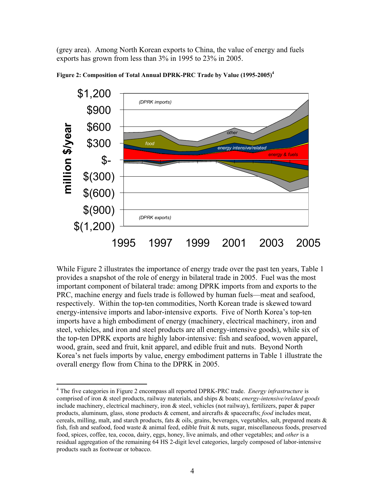(grey area). Among North Korean exports to China, the value of energy and fuels exports has grown from less than 3% in 1995 to 23% in 2005.



**Figure 2: Composition of Total Annual DPRK-PRC Trade by Value (1995-2005)4**

While Figure 2 illustrates the importance of energy trade over the past ten years, Table 1 provides a snapshot of the role of energy in bilateral trade in 2005. Fuel was the most important component of bilateral trade: among DPRK imports from and exports to the PRC, machine energy and fuels trade is followed by human fuels—meat and seafood, respectively. Within the top-ten commodities, North Korean trade is skewed toward energy-intensive imports and labor-intensive exports. Five of North Korea's top-ten imports have a high embodiment of energy (machinery, electrical machinery, iron and steel, vehicles, and iron and steel products are all energy-intensive goods), while six of the top-ten DPRK exports are highly labor-intensive: fish and seafood, woven apparel, wood, grain, seed and fruit, knit apparel, and edible fruit and nuts. Beyond North Korea's net fuels imports by value, energy embodiment patterns in Table 1 illustrate the overall energy flow from China to the DPRK in 2005.

 $\overline{a}$ 

<sup>&</sup>lt;sup>4</sup> The five categories in Figure 2 encompass all reported DPRK-PRC trade. *Energy infrastructure* is comprised of iron & steel products, railway materials, and ships & boats; *energy-intensive/related goods* include machinery, electrical machinery, iron & steel, vehicles (not railway), fertilizers, paper & paper products, aluminum, glass, stone products & cement, and aircrafts & spacecrafts; *food* includes meat, cereals, milling, malt, and starch products, fats & oils, grains, beverages, vegetables, salt, prepared meats & fish, fish and seafood, food waste  $\&$  animal feed, edible fruit  $\&$  nuts, sugar, miscellaneous foods, preserved food, spices, coffee, tea, cocoa, dairy, eggs, honey, live animals, and other vegetables; and *other* is a residual aggregation of the remaining 64 HS 2-digit level categories, largely composed of labor-intensive products such as footwear or tobacco.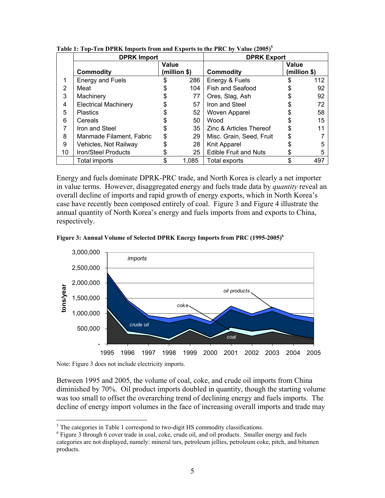|    | <b>DPRK Import</b>          | <b>DPRK Export</b> |       |                              |              |     |
|----|-----------------------------|--------------------|-------|------------------------------|--------------|-----|
|    |                             | Value              |       |                              | Value        |     |
|    | <b>Commodity</b>            | (million \$)       |       | Commodity                    | (million \$) |     |
|    | Energy and Fuels            | \$                 | 286   | Energy & Fuels               | S            | 112 |
| 2  | Meat                        | \$                 | 104   | Fish and Seafood             |              | 92  |
| 3  | Machinery                   |                    | 77    | Ores, Slag, Ash              |              | 92  |
| 4  | <b>Electrical Machinery</b> |                    | 57    | Iron and Steel               |              | 72  |
| 5  | <b>Plastics</b>             |                    | 52    | Woven Apparel                |              | 58  |
| 6  | Cereals                     |                    | 50    | Wood                         | \$           | 15  |
|    | Iron and Steel              | S                  | 35    | Zinc & Articles Thereof      |              | 11  |
| 8  | Manmade Filament, Fabric    | \$                 | 29    | Misc. Grain, Seed, Fruit     |              |     |
| 9  | Vehicles, Not Railway       | \$                 | 28    | Knit Apparel                 |              | 5   |
| 10 | <b>Iron/Steel Products</b>  |                    | 25    | <b>Edible Fruit and Nuts</b> | \$           | 5   |
|    | Total imports               | \$                 | 1,085 | Total exports                | \$           | 497 |

**Table 1: Top-Ten DPRK Imports from and Exports to the PRC by Value (2005)<sup>5</sup>**

Energy and fuels dominate DPRK-PRC trade, and North Korea is clearly a net importer in value terms. However, disaggregated energy and fuels trade data by *quantity* reveal an overall decline of imports and rapid growth of energy exports, which in North Korea's case have recently been composed entirely of coal. Figure 3 and Figure 4 illustrate the annual quantity of North Korea's energy and fuels imports from and exports to China, respectively.





Note: Figure 3 does not include electricity imports.

Between 1995 and 2005, the volume of coal, coke, and crude oil imports from China diminished by 70%. Oil product imports doubled in quantity, though the starting volume was too small to offset the overarching trend of declining energy and fuels imports. The decline of energy import volumes in the face of increasing overall imports and trade may

<sup>&</sup>lt;sup>5</sup><br>The categories in Table 1 correspond to two-digit HS commodity classifications.

<sup>&</sup>lt;sup>6</sup> Figure 3 through 6 cover trade in coal, coke, crude oil, and oil products. Smaller energy and fuels categories are not displayed, namely: mineral tars, petroleum jellies, petroleum coke, pitch, and bitumen products.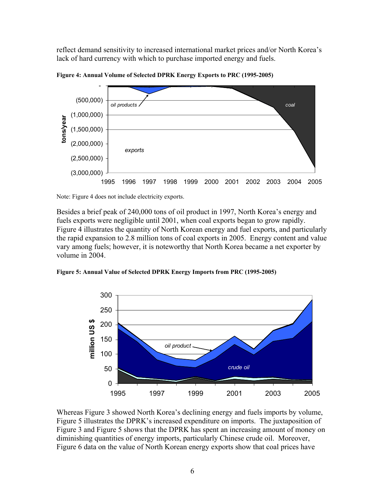reflect demand sensitivity to increased international market prices and/or North Korea's lack of hard currency with which to purchase imported energy and fuels.



**Figure 4: Annual Volume of Selected DPRK Energy Exports to PRC (1995-2005)** 

Note: Figure 4 does not include electricity exports.

Besides a brief peak of 240,000 tons of oil product in 1997, North Korea's energy and fuels exports were negligible until 2001, when coal exports began to grow rapidly. Figure 4 illustrates the quantity of North Korean energy and fuel exports, and particularly the rapid expansion to 2.8 million tons of coal exports in 2005. Energy content and value vary among fuels; however, it is noteworthy that North Korea became a net exporter by volume in 2004.

**Figure 5: Annual Value of Selected DPRK Energy Imports from PRC (1995-2005)** 



Whereas Figure 3 showed North Korea's declining energy and fuels imports by volume, Figure 5 illustrates the DPRK's increased expenditure on imports. The juxtaposition of Figure 3 and Figure 5 shows that the DPRK has spent an increasing amount of money on diminishing quantities of energy imports, particularly Chinese crude oil. Moreover, Figure 6 data on the value of North Korean energy exports show that coal prices have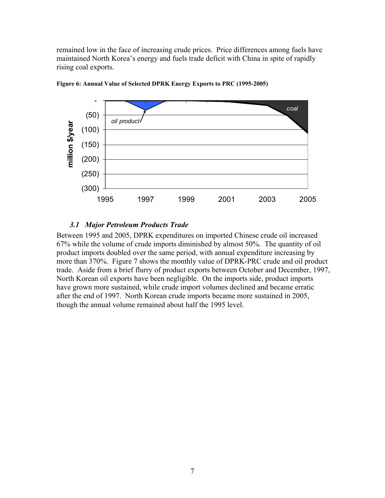remained low in the face of increasing crude prices. Price differences among fuels have maintained North Korea's energy and fuels trade deficit with China in spite of rapidly rising coal exports.



**Figure 6: Annual Value of Selected DPRK Energy Exports to PRC (1995-2005)** 

### *3.1 Major Petroleum Products Trade*

Between 1995 and 2005, DPRK expenditures on imported Chinese crude oil increased 67% while the volume of crude imports diminished by almost 50%. The quantity of oil product imports doubled over the same period, with annual expenditure increasing by more than 370%. Figure 7 shows the monthly value of DPRK-PRC crude and oil product trade. Aside from a brief flurry of product exports between October and December, 1997, North Korean oil exports have been negligible. On the imports side, product imports have grown more sustained, while crude import volumes declined and became erratic after the end of 1997. North Korean crude imports became more sustained in 2005, though the annual volume remained about half the 1995 level.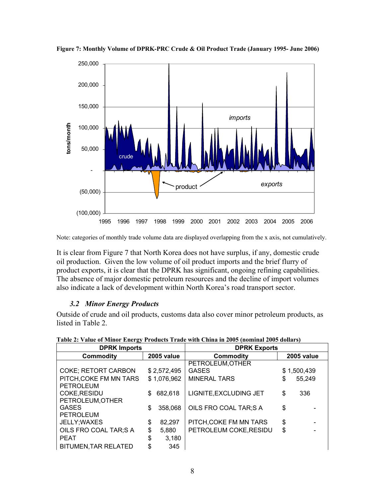

**Figure 7: Monthly Volume of DPRK-PRC Crude & Oil Product Trade (January 1995- June 2006)** 

Note: categories of monthly trade volume data are displayed overlapping from the x axis, not cumulatively.

It is clear from Figure 7 that North Korea does not have surplus, if any, domestic crude oil production. Given the low volume of oil product imports and the brief flurry of product exports, it is clear that the DPRK has significant, ongoing refining capabilities. The absence of major domestic petroleum resources and the decline of import volumes also indicate a lack of development within North Korea's road transport sector.

### *3.2 Minor Energy Products*

Outside of crude and oil products, customs data also cover minor petroleum products, as listed in Table 2.

| <b>DPRK Imports</b>                   |             | <b>DPRK Exports</b> |                        |             |                   |  |
|---------------------------------------|-------------|---------------------|------------------------|-------------|-------------------|--|
| <b>Commodity</b>                      |             | <b>2005 value</b>   | <b>Commodity</b>       |             | <b>2005 value</b> |  |
|                                       |             |                     | PETROLEUM, OTHER       |             |                   |  |
| <b>COKE; RETORT CARBON</b>            | \$2,572,495 |                     | <b>GASES</b>           | \$1,500,439 |                   |  |
| PITCH, COKE FM MN TARS<br>\$1,076,962 |             | <b>MINERAL TARS</b> | \$                     | 55.249      |                   |  |
| <b>PETROLEUM</b>                      |             |                     |                        |             |                   |  |
| COKE, RESIDU                          | \$          | 682,618             | LIGNITE, EXCLUDING JET | \$          | 336               |  |
| PETROLEUM, OTHER                      |             |                     |                        |             |                   |  |
| <b>GASES</b>                          | \$          | 358,068             | OILS FRO COAL TAR;S A  | \$          |                   |  |
| <b>PETROLEUM</b>                      |             |                     |                        |             |                   |  |
| JELLY; WAXES                          | \$          | 82,297              | PITCH, COKE FM MN TARS | \$          |                   |  |
| OILS FRO COAL TAR;S A                 | \$          | 5,880               | PETROLEUM COKE, RESIDU | \$          |                   |  |
| <b>PEAT</b>                           | \$          | 3,180               |                        |             |                   |  |
| <b>BITUMEN, TAR RELATED</b>           | \$          | 345                 |                        |             |                   |  |

**Table 2: Value of Minor Energy Products Trade with China in 2005 (nominal 2005 dollars)**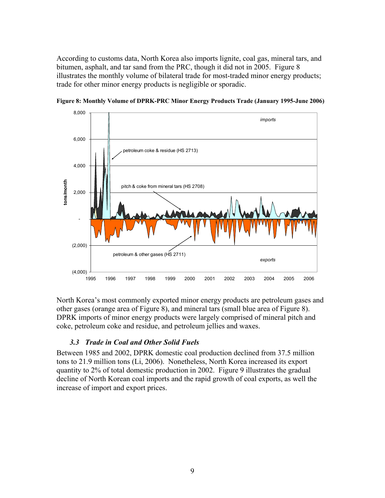According to customs data, North Korea also imports lignite, coal gas, mineral tars, and bitumen, asphalt, and tar sand from the PRC, though it did not in 2005. Figure 8 illustrates the monthly volume of bilateral trade for most-traded minor energy products; trade for other minor energy products is negligible or sporadic.



**Figure 8: Monthly Volume of DPRK-PRC Minor Energy Products Trade (January 1995-June 2006)** 

North Korea's most commonly exported minor energy products are petroleum gases and other gases (orange area of Figure 8), and mineral tars (small blue area of Figure 8). DPRK imports of minor energy products were largely comprised of mineral pitch and coke, petroleum coke and residue, and petroleum jellies and waxes.

### *3.3 Trade in Coal and Other Solid Fuels*

Between 1985 and 2002, DPRK domestic coal production declined from 37.5 million tons to 21.9 million tons (Li, 2006). Nonetheless, North Korea increased its export quantity to 2% of total domestic production in 2002. Figure 9 illustrates the gradual decline of North Korean coal imports and the rapid growth of coal exports, as well the increase of import and export prices.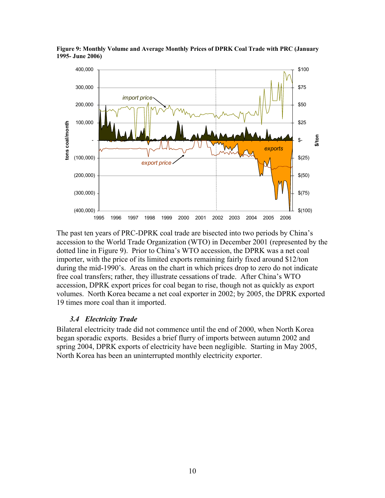

**Figure 9: Monthly Volume and Average Monthly Prices of DPRK Coal Trade with PRC (January 1995- June 2006)** 

The past ten years of PRC-DPRK coal trade are bisected into two periods by China's accession to the World Trade Organization (WTO) in December 2001 (represented by the dotted line in Figure 9). Prior to China's WTO accession, the DPRK was a net coal importer, with the price of its limited exports remaining fairly fixed around \$12/ton during the mid-1990's. Areas on the chart in which prices drop to zero do not indicate free coal transfers; rather, they illustrate cessations of trade. After China's WTO accession, DPRK export prices for coal began to rise, though not as quickly as export volumes. North Korea became a net coal exporter in 2002; by 2005, the DPRK exported 19 times more coal than it imported.

### *3.4 Electricity Trade*

Bilateral electricity trade did not commence until the end of 2000, when North Korea began sporadic exports. Besides a brief flurry of imports between autumn 2002 and spring 2004, DPRK exports of electricity have been negligible. Starting in May 2005, North Korea has been an uninterrupted monthly electricity exporter.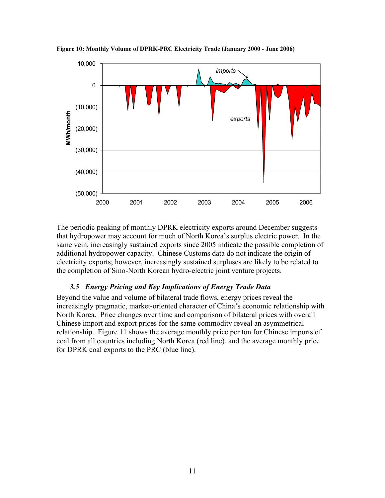

**Figure 10: Monthly Volume of DPRK-PRC Electricity Trade (January 2000 - June 2006)** 

The periodic peaking of monthly DPRK electricity exports around December suggests that hydropower may account for much of North Korea's surplus electric power. In the same vein, increasingly sustained exports since 2005 indicate the possible completion of additional hydropower capacity. Chinese Customs data do not indicate the origin of electricity exports; however, increasingly sustained surpluses are likely to be related to the completion of Sino-North Korean hydro-electric joint venture projects.

### *3.5 Energy Pricing and Key Implications of Energy Trade Data*

Beyond the value and volume of bilateral trade flows, energy prices reveal the increasingly pragmatic, market-oriented character of China's economic relationship with North Korea. Price changes over time and comparison of bilateral prices with overall Chinese import and export prices for the same commodity reveal an asymmetrical relationship. Figure 11 shows the average monthly price per ton for Chinese imports of coal from all countries including North Korea (red line), and the average monthly price for DPRK coal exports to the PRC (blue line).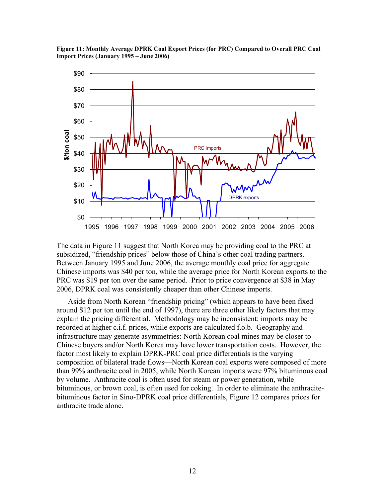



The data in Figure 11 suggest that North Korea may be providing coal to the PRC at subsidized, "friendship prices" below those of China's other coal trading partners. Between January 1995 and June 2006, the average monthly coal price for aggregate Chinese imports was \$40 per ton, while the average price for North Korean exports to the PRC was \$19 per ton over the same period. Prior to price convergence at \$38 in May 2006, DPRK coal was consistently cheaper than other Chinese imports.

 Aside from North Korean "friendship pricing" (which appears to have been fixed around \$12 per ton until the end of 1997), there are three other likely factors that may explain the pricing differential. Methodology may be inconsistent: imports may be recorded at higher c.i.f. prices, while exports are calculated f.o.b. Geography and infrastructure may generate asymmetries: North Korean coal mines may be closer to Chinese buyers and/or North Korea may have lower transportation costs. However, the factor most likely to explain DPRK-PRC coal price differentials is the varying composition of bilateral trade flows—North Korean coal exports were composed of more than 99% anthracite coal in 2005, while North Korean imports were 97% bituminous coal by volume. Anthracite coal is often used for steam or power generation, while bituminous, or brown coal, is often used for coking. In order to eliminate the anthracitebituminous factor in Sino-DPRK coal price differentials, Figure 12 compares prices for anthracite trade alone.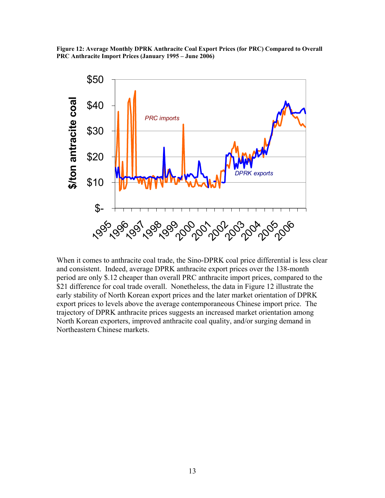**Figure 12: Average Monthly DPRK Anthracite Coal Export Prices (for PRC) Compared to Overall PRC Anthracite Import Prices (January 1995 – June 2006)** 



When it comes to anthracite coal trade, the Sino-DPRK coal price differential is less clear and consistent. Indeed, average DPRK anthracite export prices over the 138-month period are only \$.12 cheaper than overall PRC anthracite import prices, compared to the \$21 difference for coal trade overall. Nonetheless, the data in Figure 12 illustrate the early stability of North Korean export prices and the later market orientation of DPRK export prices to levels above the average contemporaneous Chinese import price. The trajectory of DPRK anthracite prices suggests an increased market orientation among North Korean exporters, improved anthracite coal quality, and/or surging demand in Northeastern Chinese markets.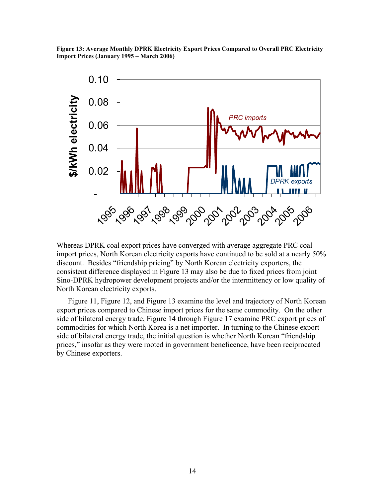**Figure 13: Average Monthly DPRK Electricity Export Prices Compared to Overall PRC Electricity Import Prices (January 1995 – March 2006)** 



Whereas DPRK coal export prices have converged with average aggregate PRC coal import prices, North Korean electricity exports have continued to be sold at a nearly 50% discount. Besides "friendship pricing" by North Korean electricity exporters, the consistent difference displayed in Figure 13 may also be due to fixed prices from joint Sino-DPRK hydropower development projects and/or the intermittency or low quality of North Korean electricity exports.

 Figure 11, Figure 12, and Figure 13 examine the level and trajectory of North Korean export prices compared to Chinese import prices for the same commodity. On the other side of bilateral energy trade, Figure 14 through Figure 17 examine PRC export prices of commodities for which North Korea is a net importer. In turning to the Chinese export side of bilateral energy trade, the initial question is whether North Korean "friendship prices," insofar as they were rooted in government beneficence, have been reciprocated by Chinese exporters.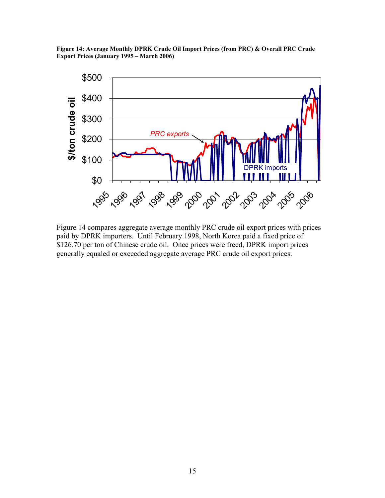**Figure 14: Average Monthly DPRK Crude Oil Import Prices (from PRC) & Overall PRC Crude Export Prices (January 1995 – March 2006)** 



Figure 14 compares aggregate average monthly PRC crude oil export prices with prices paid by DPRK importers. Until February 1998, North Korea paid a fixed price of \$126.70 per ton of Chinese crude oil. Once prices were freed, DPRK import prices generally equaled or exceeded aggregate average PRC crude oil export prices.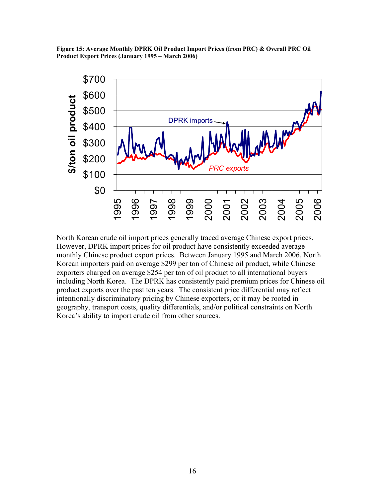**Figure 15: Average Monthly DPRK Oil Product Import Prices (from PRC) & Overall PRC Oil Product Export Prices (January 1995 – March 2006)** 



North Korean crude oil import prices generally traced average Chinese export prices. However, DPRK import prices for oil product have consistently exceeded average monthly Chinese product export prices. Between January 1995 and March 2006, North Korean importers paid on average \$299 per ton of Chinese oil product, while Chinese exporters charged on average \$254 per ton of oil product to all international buyers including North Korea. The DPRK has consistently paid premium prices for Chinese oil product exports over the past ten years. The consistent price differential may reflect intentionally discriminatory pricing by Chinese exporters, or it may be rooted in geography, transport costs, quality differentials, and/or political constraints on North Korea's ability to import crude oil from other sources.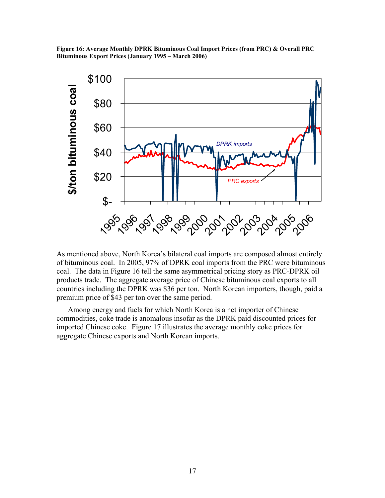**Figure 16: Average Monthly DPRK Bituminous Coal Import Prices (from PRC) & Overall PRC Bituminous Export Prices (January 1995 – March 2006)** 



As mentioned above, North Korea's bilateral coal imports are composed almost entirely of bituminous coal. In 2005, 97% of DPRK coal imports from the PRC were bituminous coal. The data in Figure 16 tell the same asymmetrical pricing story as PRC-DPRK oil products trade. The aggregate average price of Chinese bituminous coal exports to all countries including the DPRK was \$36 per ton. North Korean importers, though, paid a premium price of \$43 per ton over the same period.

 Among energy and fuels for which North Korea is a net importer of Chinese commodities, coke trade is anomalous insofar as the DPRK paid discounted prices for imported Chinese coke. Figure 17 illustrates the average monthly coke prices for aggregate Chinese exports and North Korean imports.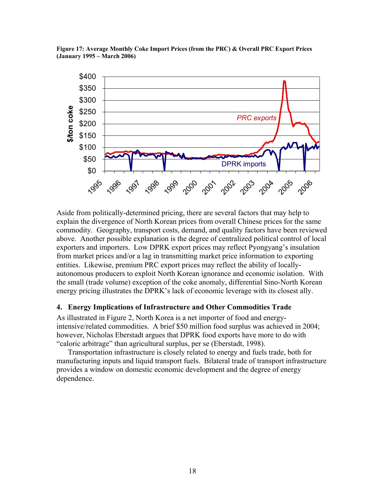



Aside from politically-determined pricing, there are several factors that may help to explain the divergence of North Korean prices from overall Chinese prices for the same commodity. Geography, transport costs, demand, and quality factors have been reviewed above. Another possible explanation is the degree of centralized political control of local exporters and importers. Low DPRK export prices may reflect Pyongyang's insulation from market prices and/or a lag in transmitting market price information to exporting entities. Likewise, premium PRC export prices may reflect the ability of locallyautonomous producers to exploit North Korean ignorance and economic isolation. With the small (trade volume) exception of the coke anomaly, differential Sino-North Korean energy pricing illustrates the DPRK's lack of economic leverage with its closest ally.

### **4. Energy Implications of Infrastructure and Other Commodities Trade**

As illustrated in Figure 2, North Korea is a net importer of food and energyintensive/related commodities. A brief \$50 million food surplus was achieved in 2004; however, Nicholas Eberstadt argues that DPRK food exports have more to do with "caloric arbitrage" than agricultural surplus, per se (Eberstadt, 1998).

Transportation infrastructure is closely related to energy and fuels trade, both for manufacturing inputs and liquid transport fuels. Bilateral trade of transport infrastructure provides a window on domestic economic development and the degree of energy dependence.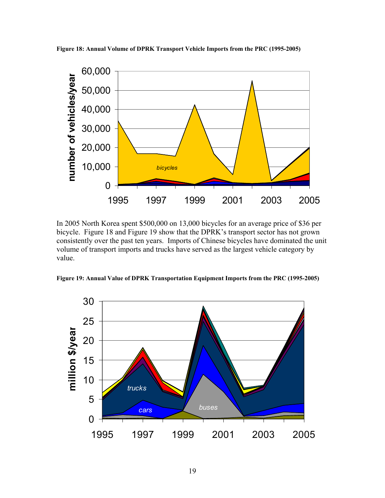

**Figure 18: Annual Volume of DPRK Transport Vehicle Imports from the PRC (1995-2005)** 

In 2005 North Korea spent \$500,000 on 13,000 bicycles for an average price of \$36 per bicycle. Figure 18 and Figure 19 show that the DPRK's transport sector has not grown consistently over the past ten years. Imports of Chinese bicycles have dominated the unit volume of transport imports and trucks have served as the largest vehicle category by value.

**Figure 19: Annual Value of DPRK Transportation Equipment Imports from the PRC (1995-2005)** 

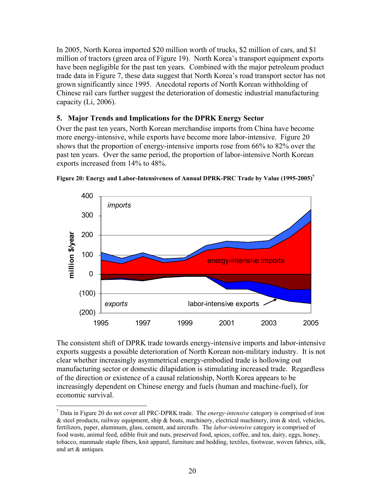In 2005, North Korea imported \$20 million worth of trucks, \$2 million of cars, and \$1 million of tractors (green area of Figure 19). North Korea's transport equipment exports have been negligible for the past ten years. Combined with the major petroleum product trade data in Figure 7, these data suggest that North Korea's road transport sector has not grown significantly since 1995. Anecdotal reports of North Korean withholding of Chinese rail cars further suggest the deterioration of domestic industrial manufacturing capacity (Li, 2006).

## **5. Major Trends and Implications for the DPRK Energy Sector**

Over the past ten years, North Korean merchandise imports from China have become more energy-intensive, while exports have become more labor-intensive. Figure 20 shows that the proportion of energy-intensive imports rose from 66% to 82% over the past ten years. Over the same period, the proportion of labor-intensive North Korean exports increased from 14% to 48%.





The consistent shift of DPRK trade towards energy-intensive imports and labor-intensive exports suggests a possible deterioration of North Korean non-military industry. It is not clear whether increasingly asymmetrical energy-embodied trade is hollowing out manufacturing sector or domestic dilapidation is stimulating increased trade. Regardless of the direction or existence of a causal relationship, North Korea appears to be increasingly dependent on Chinese energy and fuels (human and machine-fuel), for economic survival.

 $\overline{a}$ 

<sup>7</sup> Data in Figure 20 do not cover all PRC-DPRK trade. The *energy-intensive* category is comprised of iron & steel products, railway equipment, ship & boats, machinery, electrical machinery, iron & steel, vehicles, fertilizers, paper, aluminum, glass, cement, and aircrafts. The *labor-intensive* category is comprised of food waste, animal feed, edible fruit and nuts, preserved food, spices, coffee, and tea, dairy, eggs, honey, tobacco, manmade staple fibers, knit apparel, furniture and bedding, textiles, footwear, woven fabrics, silk, and art & antiques.